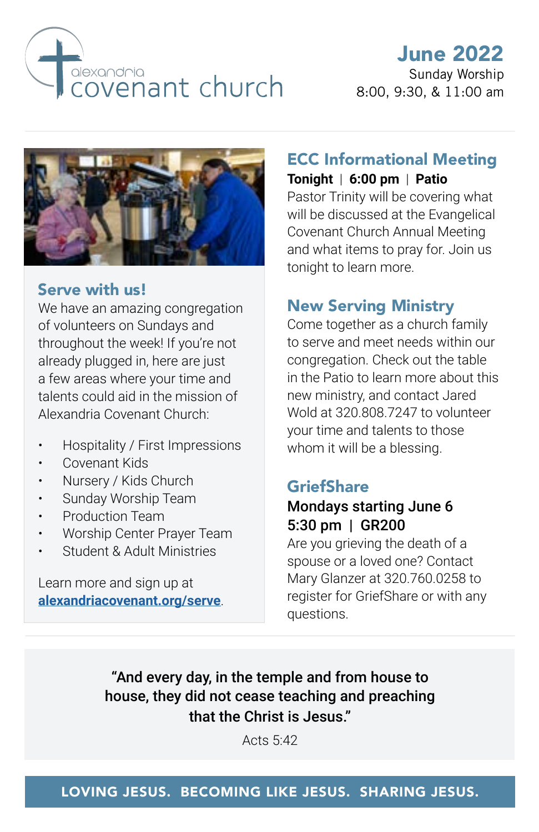

# June 2022

Sunday Worship 8:00, 9:30, & 11:00 am



### Serve with us!

We have an amazing congregation of volunteers on Sundays and throughout the week! If you're not already plugged in, here are just a few areas where your time and talents could aid in the mission of Alexandria Covenant Church:

- Hospitality / First Impressions
- Covenant Kids
- Nursery / Kids Church
- Sunday Worship Team
- Production Team
- Worship Center Prayer Team
- Student & Adult Ministries

Learn more and sign up at **[alexandriacovenant.org/serve](https://alexandriacovenant.org/serve/)**.

### ECC Informational Meeting **Tonight** | **6:00 pm** | **Patio**

Pastor Trinity will be covering what will be discussed at the Evangelical Covenant Church Annual Meeting and what items to pray for. Join us tonight to learn more.

## New Serving Ministry

Come together as a church family to serve and meet needs within our congregation. Check out the table in the Patio to learn more about this new ministry, and contact Jared Wold at 320.808.7247 to volunteer your time and talents to those whom it will be a blessing.

#### **GriefShare**

### Mondays starting June 6 5:30 pm | GR200

Are you grieving the death of a spouse or a loved one? Contact Mary Glanzer at 320.760.0258 to register for GriefShare or with any questions.

"And every day, in the temple and from house to house, they did not cease teaching and preaching that the Christ is Jesus."

Acts 5:42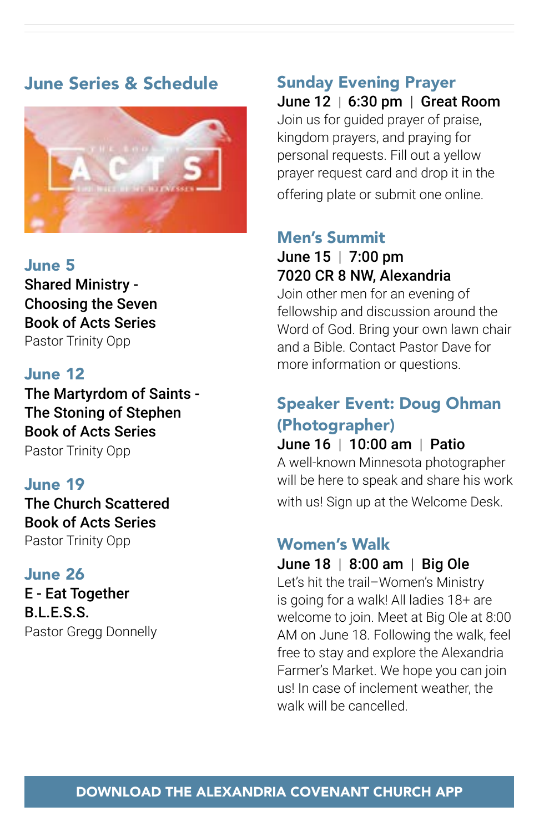## June Series & Schedule



#### June 5

Shared Ministry - Choosing the Seven Book of Acts Series Pastor Trinity Opp

#### June 12

The Martyrdom of Saints - The Stoning of Stephen Book of Acts Series Pastor Trinity Opp

#### June 19

The Church Scattered Book of Acts Series Pastor Trinity Opp

#### June 26

E - Eat Together B.L.E.S.S. Pastor Gregg Donnelly

# Sunday Evening Prayer

June 12 | 6:30 pm | Great Room Join us for guided prayer of praise, kingdom prayers, and praying for personal requests. Fill out a yellow prayer request card and drop it in the offering plate or submit one online.

## Men's Summit

### June 15 | 7:00 pm 7020 CR 8 NW, Alexandria

Join other men for an evening of fellowship and discussion around the Word of God. Bring your own lawn chair and a Bible. Contact Pastor Dave for more information or questions.

## Speaker Event: Doug Ohman (Photographer)

#### June 16 | 10:00 am | Patio

A well-known Minnesota photographer will be here to speak and share his work with us! Sign up at the Welcome Desk.

## Women's Walk

#### June 18 | 8:00 am | Big Ole

Let's hit the trail–Women's Ministry is going for a walk! All ladies 18+ are welcome to join. Meet at Big Ole at 8:00 AM on June 18. Following the walk, feel free to stay and explore the Alexandria Farmer's Market. We hope you can join us! In case of inclement weather, the walk will be cancelled.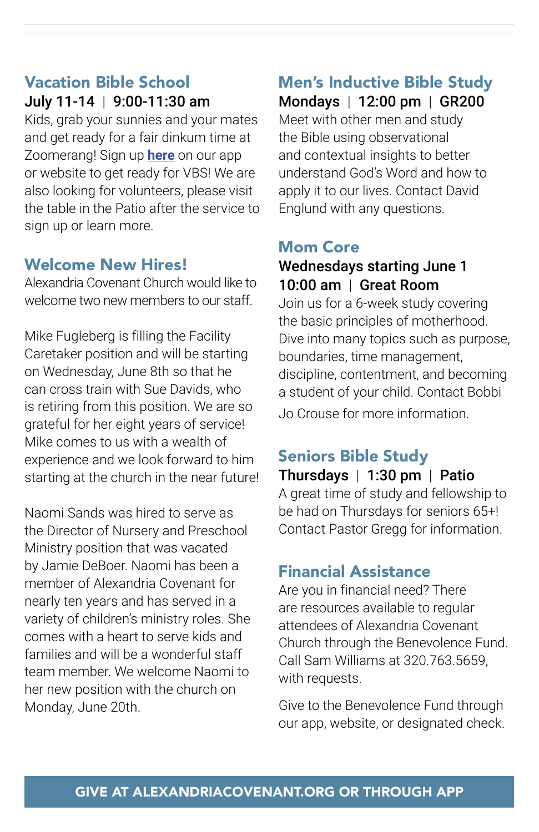## Vacation Bible School July 11-14 | 9:00-11:30 am

Kids, grab your sunnies and your mates and get ready for a fair dinkum time at Zoomerang! Sign up **[here](https://alexandriacovenant.org/event/vacation-bible-school/)** on our app or website to get ready for VBS! We are also looking for volunteers, please visit the table in the Patio after the service to sign up or learn more.

## Welcome New Hires!

Alexandria Covenant Church would like to welcome two new members to our staff.

Mike Fugleberg is filling the Facility Caretaker position and will be starting on Wednesday, June 8th so that he can cross train with Sue Davids, who is retiring from this position. We are so grateful for her eight years of service! Mike comes to us with a wealth of experience and we look forward to him starting at the church in the near future!

Naomi Sands was hired to serve as the Director of Nursery and Preschool Ministry position that was vacated by Jamie DeBoer. Naomi has been a member of Alexandria Covenant for nearly ten years and has served in a variety of children's ministry roles. She comes with a heart to serve kids and families and will be a wonderful staff team member. We welcome Naomi to her new position with the church on Monday, June 20th.

## Men's Inductive Bible Study

Mondays | 12:00 pm | GR200 Meet with other men and study the Bible using observational and contextual insights to better understand God's Word and how to apply it to our lives. Contact David Englund with any questions.

## Mom Core

#### Wednesdays starting June 1 10:00 am | Great Room

Join us for a 6-week study covering the basic principles of motherhood. Dive into many topics such as purpose, boundaries, time management, discipline, contentment, and becoming a student of your child. Contact Bobbi Jo Crouse for more information.

## Seniors Bible Study

Thursdays | 1:30 pm | Patio A great time of study and fellowship to be had on Thursdays for seniors 65+! Contact Pastor Gregg for information.

## Financial Assistance

Are you in financial need? There are resources available to regular attendees of Alexandria Covenant Church through the Benevolence Fund. Call Sam Williams at 320.763.5659, with requests.

Give to the Benevolence Fund through our app, website, or designated check.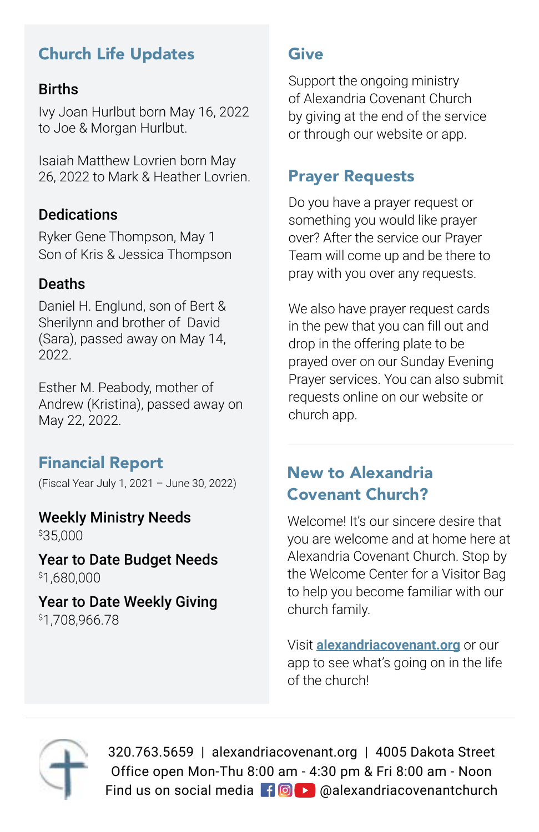## Church Life Updates

#### Births

Ivy Joan Hurlbut born May 16, 2022 to Joe & Morgan Hurlbut.

Isaiah Matthew Lovrien born May 26, 2022 to Mark & Heather Lovrien.

### **Dedications**

Ryker Gene Thompson, May 1 Son of Kris & Jessica Thompson

#### Deaths

Daniel H. Englund, son of Bert & Sherilynn and brother of David (Sara), passed away on May 14, 2022.

Esther M. Peabody, mother of Andrew (Kristina), passed away on May 22, 2022.

## Financial Report

(Fiscal Year July 1, 2021 – June 30, 2022)

Weekly Ministry Needs \$ 35,000

Year to Date Budget Needs \$ 1,680,000

Year to Date Weekly Giving \$ 1,708,966.78

### **Give**

Support the ongoing ministry of Alexandria Covenant Church by giving at the end of the service or through our website or app.

## Prayer Requests

Do you have a prayer request or something you would like prayer over? After the service our Prayer Team will come up and be there to pray with you over any requests.

We also have prayer request cards in the pew that you can fill out and drop in the offering plate to be prayed over on our Sunday Evening Prayer services. You can also submit requests online on our website or church app.

## New to Alexandria Covenant Church?

Welcome! It's our sincere desire that you are welcome and at home here at Alexandria Covenant Church. Stop by the Welcome Center for a Visitor Bag to help you become familiar with our church family.

Visit **alexandriacovenant.org** or our app to see what's going on in the life of the church!



320.763.5659 | alexandriacovenant.org | 4005 Dakota Street Office open Mon-Thu 8:00 am - 4:30 pm & Fri 8:00 am - Noon Find us on social media  $\blacksquare$   $\blacksquare$  @alexandriacovenantchurch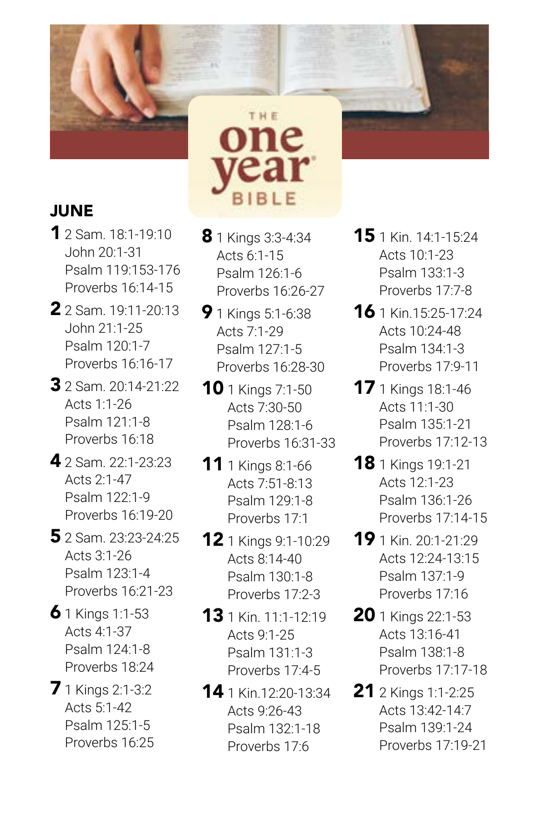

## **JUNE**

- 1 2 Sam. 18:1-19:10 John 20:1-31 Psalm 119:153-176 Proverbs 16:14-15
- 2 2 Sam. 19:11-20:13 John 21:1-25 Psalm 120:1-7 Proverbs 16:16-17
- 3 2 Sam. 20:14-21:22 Acts 1:1-26 Psalm 121:1-8 Proverbs 16:18
- 4 2 Sam. 22:1-23:23 Acts 2:1-47 Psalm 122:1-9 Proverbs 16:19-20
- 5 2 Sam. 23:23-24:25 Acts 3:1-26 Psalm 123:1-4 Proverbs 16:21-23
- $6$  1 Kings 1:1-53 Acts 4:1-37 Psalm 124:1-8 Proverbs 18:24
- **7** 1 Kings 2:1-3:2 Acts 5:1-42 Psalm 125:1-5 Proverbs 16:25

**8** 1 Kings 3:3-4:34 Acts 6:1-15 Psalm 126:1-6 Proverbs 16:26-27

BIBLE

THE one

- **9** 1 Kings 5:1-6:38 Acts 7:1-29 Psalm 127:1-5 Proverbs 16:28-30
- **10** 1 Kings 7:1-50 Acts 7:30-50 Psalm 128:1-6 Proverbs 16:31-33
- **11** 1 Kings 8:1-66 Acts 7:51-8:13 Psalm 129:1-8 Proverbs 17:1
- 12 1 Kings 9:1-10:29 Acts 8:14-40 Psalm 130:1-8 Proverbs 17:2-3
- **13** 1 Kin. 11:1-12:19 Acts 9:1-25 Psalm 131:1-3 Proverbs 17:4-5
- 14 1 Kin.12:20-13:34 Acts 9:26-43 Psalm 132:1-18 Proverbs 17:6
- 15 1 Kin. 14:1-15:24 Acts 10:1-23 Psalm 133:1-3 Proverbs 17:7-8
- 16 1 Kin.15:25-17:24 Acts 10:24-48 Psalm 134:1-3 Proverbs 17:9-11
- **17** 1 Kings 18:1-46 Acts 11:1-30 Psalm 135:1-21 Proverbs 17:12-13
- **18** 1 Kings 19:1-21 Acts 12:1-23 Psalm 136:1-26 Proverbs 17:14-15
- 19 1 Kin. 20:1-21:29 Acts 12:24-13:15 Psalm 137:1-9 Proverbs 17:16
- **20** 1 Kings 22:1-53 Acts 13:16-41 Psalm 138:1-8 Proverbs 17:17-18
- **21** 2 Kings 1:1-2:25 Acts 13:42-14:7 Psalm 139:1-24 Proverbs 17:19-21